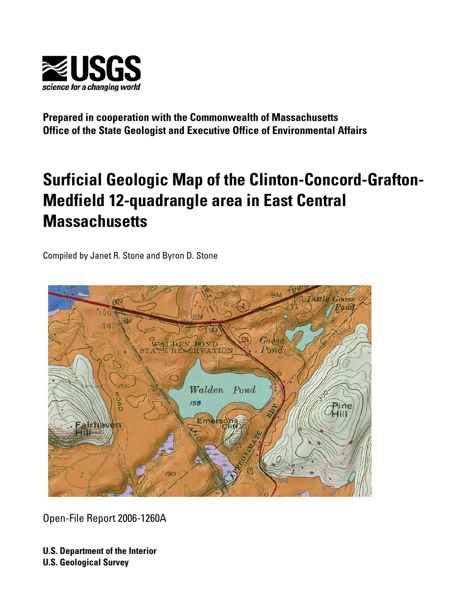

**Prepared in cooperation with the Commonwealth of Massachusetts Office of the State Geologist and Executive Office of Environmental Affairs** 

# **Surficial Geologic Map of the Clinton-Concord-Grafton-Medfield 12-quadrangle area in East Central Massachusetts**

Compiled by Janet R. Stone and Byron D. Stone



Open-File Report 2006-1260A

**U.S. Department of the Interior U.S. Geological Survey**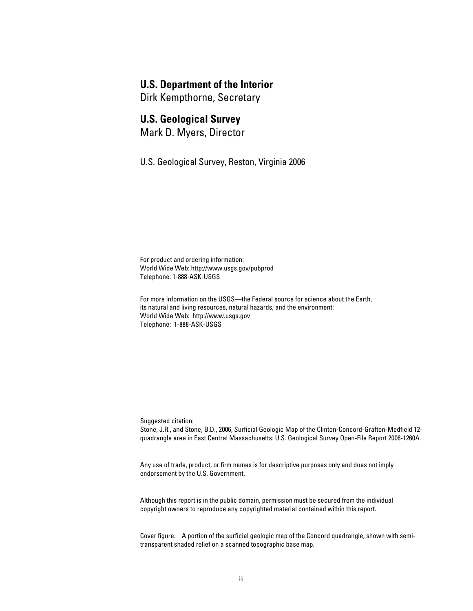### **U.S. Department of the Interior**

Dirk Kempthorne, Secretary

### **U.S. Geological Survey**

Mark D. Myers, Director

U.S. Geological Survey, Reston, Virginia 2006

For product and ordering information: World Wide Web: http://www.usgs.gov/pubprod Telephone: 1-888-ASK-USGS

For more information on the USGS—the Federal source for science about the Earth, its natural and living resources, natural hazards, and the environment: World Wide Web: http://www.usgs.gov Telephone: 1-888-ASK-USGS

Suggested citation:

Stone, J.R., and Stone, B.D., 2006, Surficial Geologic Map of the Clinton-Concord-Grafton-Medfield 12 quadrangle area in East Central Massachusetts: U.S. Geological Survey Open-File Report 2006-1260A.

Any use of trade, product, or firm names is for descriptive purposes only and does not imply endorsement by the U.S. Government.

Although this report is in the public domain, permission must be secured from the individual copyright owners to reproduce any copyrighted material contained within this report.

Cover figure. A portion of the surficial geologic map of the Concord quadrangle, shown with semi transparent shaded relief on a scanned topographic base map.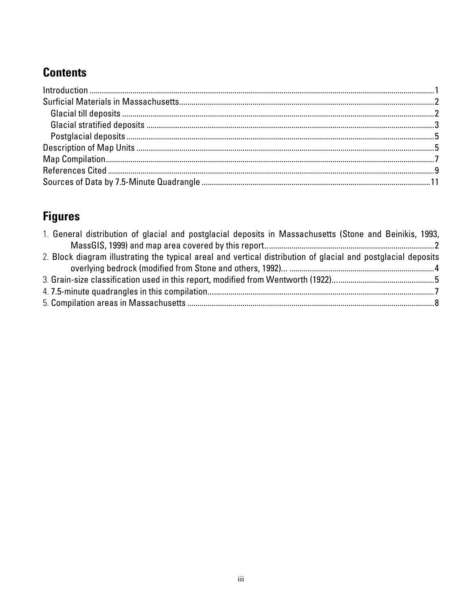## **Contents**

## **Figures**

| 1. General distribution of glacial and postglacial deposits in Massachusetts (Stone and Beinikis, 1993,       |  |
|---------------------------------------------------------------------------------------------------------------|--|
|                                                                                                               |  |
| 2. Block diagram illustrating the typical areal and vertical distribution of glacial and postglacial deposits |  |
|                                                                                                               |  |
|                                                                                                               |  |
|                                                                                                               |  |
|                                                                                                               |  |
|                                                                                                               |  |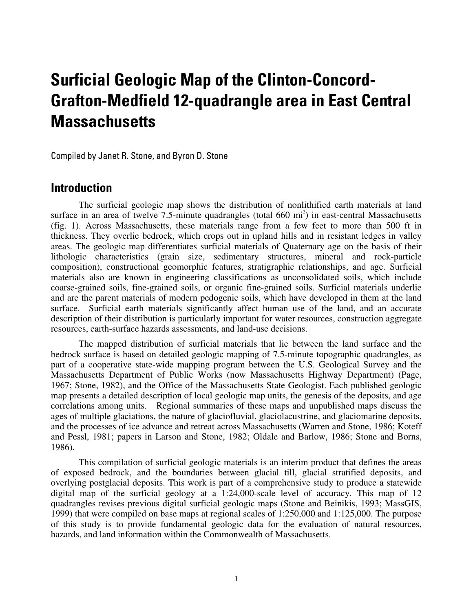## **Surficial Geologic Map of the Clinton-Concord-Grafton-Medfield 12-quadrangle area in East Central Massachusetts**

Compiled by Janet R. Stone, and Byron D. Stone

### **Introduction**

The surficial geologic map shows the distribution of nonlithified earth materials at land surface in an area of twelve  $7.5$ -minute quadrangles (total  $660 \text{ mi}^2$ ) in east-central Massachusetts (fig. 1). Across Massachusetts, these materials range from a few feet to more than 500 ft in thickness. They overlie bedrock, which crops out in upland hills and in resistant ledges in valley areas. The geologic map differentiates surficial materials of Quaternary age on the basis of their lithologic characteristics (grain size, sedimentary structures, mineral and rock-particle composition), constructional geomorphic features, stratigraphic relationships, and age. Surficial materials also are known in engineering classifications as unconsolidated soils, which include coarse-grained soils, fine-grained soils, or organic fine-grained soils. Surficial materials underlie and are the parent materials of modern pedogenic soils, which have developed in them at the land surface. Surficial earth materials significantly affect human use of the land, and an accurate description of their distribution is particularly important for water resources, construction aggregate resources, earth-surface hazards assessments, and land-use decisions.

The mapped distribution of surficial materials that lie between the land surface and the bedrock surface is based on detailed geologic mapping of 7.5-minute topographic quadrangles, as part of a cooperative state-wide mapping program between the U.S. Geological Survey and the Massachusetts Department of Public Works (now Massachusetts Highway Department) (Page, 1967; Stone, 1982), and the Office of the Massachusetts State Geologist. Each published geologic map presents a detailed description of local geologic map units, the genesis of the deposits, and age correlations among units. Regional summaries of these maps and unpublished maps discuss the ages of multiple glaciations, the nature of glaciofluvial, glaciolacustrine, and glaciomarine deposits, and the processes of ice advance and retreat across Massachusetts (Warren and Stone, 1986; Koteff and Pessl, 1981; papers in Larson and Stone, 1982; Oldale and Barlow, 1986; Stone and Borns, 1986).

This compilation of surficial geologic materials is an interim product that defines the areas of exposed bedrock, and the boundaries between glacial till, glacial stratified deposits, and overlying postglacial deposits. This work is part of a comprehensive study to produce a statewide digital map of the surficial geology at a 1:24,000-scale level of accuracy. This map of 12 quadrangles revises previous digital surficial geologic maps (Stone and Beinikis, 1993; MassGIS, 1999) that were compiled on base maps at regional scales of 1:250,000 and 1:125,000. The purpose of this study is to provide fundamental geologic data for the evaluation of natural resources, hazards, and land information within the Commonwealth of Massachusetts.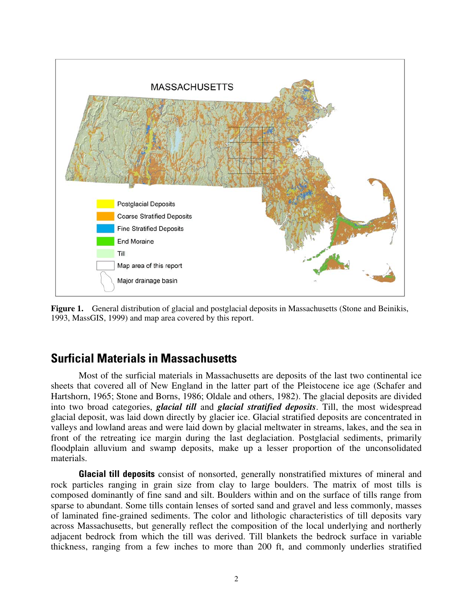

**Figure 1.** General distribution of glacial and postglacial deposits in Massachusetts (Stone and Beinikis, 1993, MassGIS, 1999) and map area covered by this report.

### **Surficial Materials in Massachusetts**

Most of the surficial materials in Massachusetts are deposits of the last two continental ice sheets that covered all of New England in the latter part of the Pleistocene ice age (Schafer and Hartshorn, 1965; Stone and Borns, 1986; Oldale and others, 1982). The glacial deposits are divided into two broad categories, *glacial till* and *glacial stratified deposits*. Till, the most widespread glacial deposit, was laid down directly by glacier ice. Glacial stratified deposits are concentrated in valleys and lowland areas and were laid down by glacial meltwater in streams, lakes, and the sea in front of the retreating ice margin during the last deglaciation. Postglacial sediments, primarily floodplain alluvium and swamp deposits, make up a lesser proportion of the unconsolidated materials.

**Glacial till deposits** consist of nonsorted, generally nonstratified mixtures of mineral and rock particles ranging in grain size from clay to large boulders. The matrix of most tills is composed dominantly of fine sand and silt. Boulders within and on the surface of tills range from sparse to abundant. Some tills contain lenses of sorted sand and gravel and less commonly, masses of laminated fine-grained sediments. The color and lithologic characteristics of till deposits vary across Massachusetts, but generally reflect the composition of the local underlying and northerly adjacent bedrock from which the till was derived. Till blankets the bedrock surface in variable thickness, ranging from a few inches to more than 200 ft, and commonly underlies stratified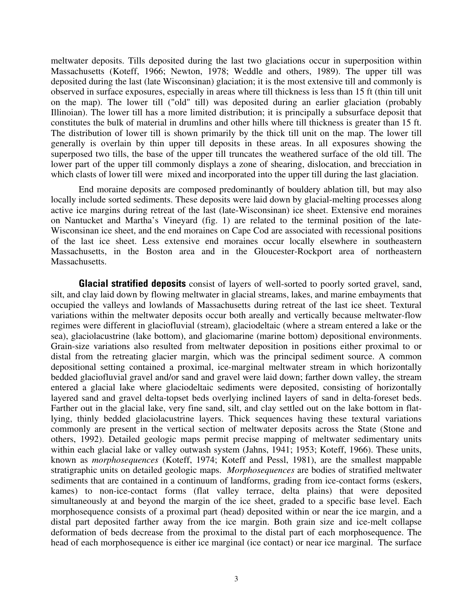meltwater deposits. Tills deposited during the last two glaciations occur in superposition within Massachusetts (Koteff, 1966; Newton, 1978; Weddle and others, 1989). The upper till was deposited during the last (late Wisconsinan) glaciation; it is the most extensive till and commonly is observed in surface exposures, especially in areas where till thickness is less than 15 ft (thin till unit on the map). The lower till ("old" till) was deposited during an earlier glaciation (probably Illinoian). The lower till has a more limited distribution; it is principally a subsurface deposit that constitutes the bulk of material in drumlins and other hills where till thickness is greater than 15 ft. The distribution of lower till is shown primarily by the thick till unit on the map. The lower till generally is overlain by thin upper till deposits in these areas. In all exposures showing the superposed two tills, the base of the upper till truncates the weathered surface of the old till. The lower part of the upper till commonly displays a zone of shearing, dislocation, and brecciation in which clasts of lower till were mixed and incorporated into the upper till during the last glaciation.

End moraine deposits are composed predominantly of bouldery ablation till, but may also locally include sorted sediments. These deposits were laid down by glacial-melting processes along active ice margins during retreat of the last (late-Wisconsinan) ice sheet. Extensive end moraines on Nantucket and Martha's Vineyard (fig. 1) are related to the terminal position of the late-Wisconsinan ice sheet, and the end moraines on Cape Cod are associated with recessional positions of the last ice sheet. Less extensive end moraines occur locally elsewhere in southeastern Massachusetts, in the Boston area and in the Gloucester-Rockport area of northeastern Massachusetts.

**Glacial stratified deposits** consist of layers of well-sorted to poorly sorted gravel, sand, silt, and clay laid down by flowing meltwater in glacial streams, lakes, and marine embayments that occupied the valleys and lowlands of Massachusetts during retreat of the last ice sheet. Textural variations within the meltwater deposits occur both areally and vertically because meltwater-flow regimes were different in glaciofluvial (stream), glaciodeltaic (where a stream entered a lake or the sea), glaciolacustrine (lake bottom), and glaciomarine (marine bottom) depositional environments. Grain-size variations also resulted from meltwater deposition in positions either proximal to or distal from the retreating glacier margin, which was the principal sediment source. A common depositional setting contained a proximal, ice-marginal meltwater stream in which horizontally bedded glaciofluvial gravel and/or sand and gravel were laid down; farther down valley, the stream entered a glacial lake where glaciodeltaic sediments were deposited, consisting of horizontally layered sand and gravel delta-topset beds overlying inclined layers of sand in delta-foreset beds. Farther out in the glacial lake, very fine sand, silt, and clay settled out on the lake bottom in flatlying, thinly bedded glaciolacustrine layers. Thick sequences having these textural variations commonly are present in the vertical section of meltwater deposits across the State (Stone and others, 1992). Detailed geologic maps permit precise mapping of meltwater sedimentary units within each glacial lake or valley outwash system (Jahns, 1941; 1953; Koteff, 1966). These units, known as *morphosequences* (Koteff, 1974; Koteff and Pessl, 1981), are the smallest mappable stratigraphic units on detailed geologic maps. *Morphosequences* are bodies of stratified meltwater sediments that are contained in a continuum of landforms, grading from ice-contact forms (eskers, kames) to non-ice-contact forms (flat valley terrace, delta plains) that were deposited simultaneously at and beyond the margin of the ice sheet, graded to a specific base level. Each morphosequence consists of a proximal part (head) deposited within or near the ice margin, and a distal part deposited farther away from the ice margin. Both grain size and ice-melt collapse deformation of beds decrease from the proximal to the distal part of each morphosequence. The head of each morphosequence is either ice marginal (ice contact) or near ice marginal. The surface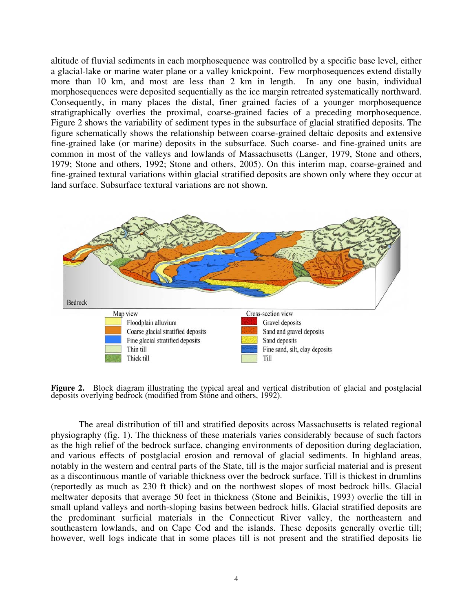altitude of fluvial sediments in each morphosequence was controlled by a specific base level, either a glacial-lake or marine water plane or a valley knickpoint. Few morphosequences extend distally more than 10 km, and most are less than 2 km in length. In any one basin, individual morphosequences were deposited sequentially as the ice margin retreated systematically northward. Consequently, in many places the distal, finer grained facies of a younger morphosequence stratigraphically overlies the proximal, coarse-grained facies of a preceding morphosequence. Figure 2 shows the variability of sediment types in the subsurface of glacial stratified deposits. The figure schematically shows the relationship between coarse-grained deltaic deposits and extensive fine-grained lake (or marine) deposits in the subsurface. Such coarse- and fine-grained units are common in most of the valleys and lowlands of Massachusetts (Langer, 1979, Stone and others, 1979; Stone and others, 1992; Stone and others, 2005). On this interim map, coarse-grained and fine-grained textural variations within glacial stratified deposits are shown only where they occur at land surface. Subsurface textural variations are not shown.



**Figure 2.** Block diagram illustrating the typical areal and vertical distribution of glacial and postglacial deposits overlying bedrock (modified from Stone and others, 1992).

The areal distribution of till and stratified deposits across Massachusetts is related regional physiography (fig. 1). The thickness of these materials varies considerably because of such factors as the high relief of the bedrock surface, changing environments of deposition during deglaciation, and various effects of postglacial erosion and removal of glacial sediments. In highland areas, notably in the western and central parts of the State, till is the major surficial material and is present as a discontinuous mantle of variable thickness over the bedrock surface. Till is thickest in drumlins (reportedly as much as 230 ft thick) and on the northwest slopes of most bedrock hills. Glacial meltwater deposits that average 50 feet in thickness (Stone and Beinikis, 1993) overlie the till in small upland valleys and north-sloping basins between bedrock hills. Glacial stratified deposits are the predominant surficial materials in the Connecticut River valley, the northeastern and southeastern lowlands, and on Cape Cod and the islands. These deposits generally overlie till; however, well logs indicate that in some places till is not present and the stratified deposits lie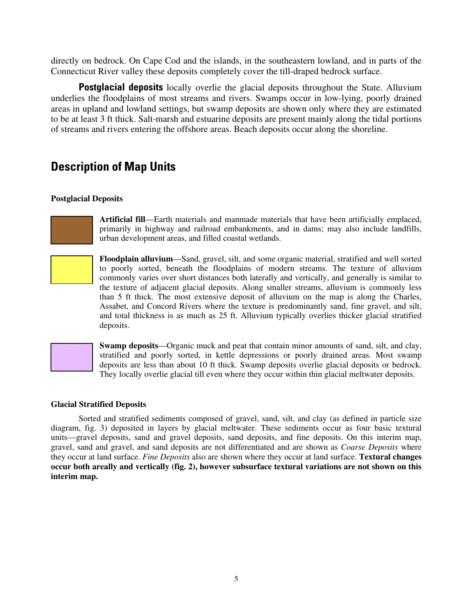directly on bedrock. On Cape Cod and the islands, in the southeastern lowland, and in parts of the Connecticut River valley these deposits completely cover the till-draped bedrock surface.

**Postglacial deposits** locally overlie the glacial deposits throughout the State. Alluvium underlies the floodplains of most streams and rivers. Swamps occur in low-lying, poorly drained areas in upland and lowland settings, but swamp deposits are shown only where they are estimated to be at least 3 ft thick. Salt-marsh and estuarine deposits are present mainly along the tidal portions of streams and rivers entering the offshore areas. Beach deposits occur along the shoreline.

## **Description of Map Units**

### **Postglacial Deposits**



**Artificial fill**—Earth materials and manmade materials that have been artificially emplaced, primarily in highway and railroad embankments, and in dams; may also include landfills, urban development areas, and filled coastal wetlands.

**Floodplain alluvium**—Sand, gravel, silt, and some organic material, stratified and well sorted to poorly sorted, beneath the floodplains of modern streams. The texture of alluvium commonly varies over short distances both laterally and vertically, and generally is similar to the texture of adjacent glacial deposits. Along smaller streams, alluvium is commonly less than 5 ft thick. The most extensive deposit of alluvium on the map is along the Charles, Assabet, and Concord Rivers where the texture is predominantly sand, fine gravel, and silt, and total thickness is as much as 25 ft. Alluvium typically overlies thicker glacial stratified deposits.



**Swamp deposits**—Organic muck and peat that contain minor amounts of sand, silt, and clay, stratified and poorly sorted, in kettle depressions or poorly drained areas. Most swamp deposits are less than about 10 ft thick. Swamp deposits overlie glacial deposits or bedrock. They locally overlie glacial till even where they occur within thin glacial meltwater deposits.

#### **Glacial Stratified Deposits**

Sorted and stratified sediments composed of gravel, sand, silt, and clay (as defined in particle size diagram, fig. 3) deposited in layers by glacial meltwater. These sediments occur as four basic textural units—gravel deposits, sand and gravel deposits, sand deposits, and fine deposits. On this interim map, gravel, sand and gravel, and sand deposits are not differentiated and are shown as *Coarse Deposits* where they occur at land surface. *Fine Deposits* also are shown where they occur at land surface. **Textural changes occur both areally and vertically (fig. 2), however subsurface textural variations are not shown on this interim map.**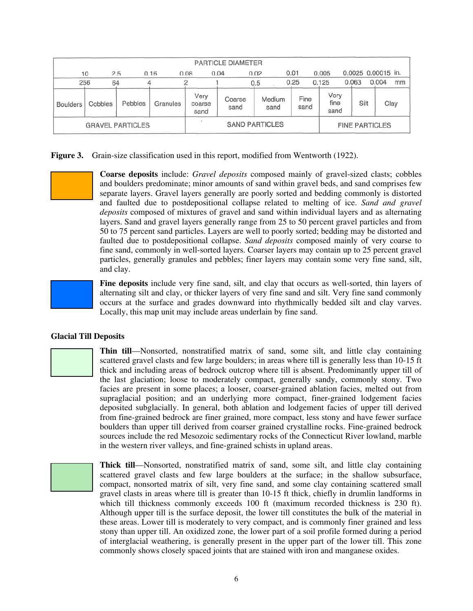|                         | <b>PARTICLE DIAMETER</b> |         |                       |                        |                |      |                |                       |       |                      |                    |       |      |
|-------------------------|--------------------------|---------|-----------------------|------------------------|----------------|------|----------------|-----------------------|-------|----------------------|--------------------|-------|------|
|                         | 2.5<br>10                |         | 0.16                  | 0.08                   | 0.04           | 0.02 |                | 0.01                  | 0.005 |                      | 0.0025 0.00015 in. |       |      |
| 256                     | 64                       |         |                       |                        |                | 0.5  |                | 0.25                  | 0.125 |                      | 0.063              | 0.004 | mm   |
| <b>Boulders</b>         | Cobbles                  | Pebbles | Granules              | Very<br>coarse<br>sand | Coarse<br>sand |      | Medium<br>sand | Fine<br>sand          |       | Very<br>fine<br>sand | Silt               |       | Clay |
| <b>GRAVEL PARTICLES</b> |                          |         | <b>SAND PARTICLES</b> |                        |                |      |                | <b>FINE PARTICLES</b> |       |                      |                    |       |      |

**Figure 3.** Grain-size classification used in this report, modified from Wentworth (1922).

**Coarse deposits** include: *Gravel deposits* composed mainly of gravel-sized clasts; cobbles and boulders predominate; minor amounts of sand within gravel beds, and sand comprises few separate layers. Gravel layers generally are poorly sorted and bedding commonly is distorted and faulted due to postdepositional collapse related to melting of ice. *Sand and gravel deposits* composed of mixtures of gravel and sand within individual layers and as alternating layers. Sand and gravel layers generally range from 25 to 50 percent gravel particles and from 50 to 75 percent sand particles. Layers are well to poorly sorted; bedding may be distorted and faulted due to postdepositional collapse. *Sand deposits* composed mainly of very coarse to fine sand, commonly in well-sorted layers. Coarser layers may contain up to 25 percent gravel particles, generally granules and pebbles; finer layers may contain some very fine sand, silt, and clay.



**Fine deposits** include very fine sand, silt, and clay that occurs as well-sorted, thin layers of alternating silt and clay, or thicker layers of very fine sand and silt. Very fine sand commonly occurs at the surface and grades downward into rhythmically bedded silt and clay varves. Locally, this map unit may include areas underlain by fine sand.

#### **Glacial Till Deposits**

**Thin till**—Nonsorted, nonstratified matrix of sand, some silt, and little clay containing scattered gravel clasts and few large boulders; in areas where till is generally less than 10-15 ft thick and including areas of bedrock outcrop where till is absent. Predominantly upper till of the last glaciation; loose to moderately compact, generally sandy, commonly stony. Two facies are present in some places; a looser, coarser-grained ablation facies, melted out from supraglacial position; and an underlying more compact, finer-grained lodgement facies deposited subglacially. In general, both ablation and lodgement facies of upper till derived from fine-grained bedrock are finer grained, more compact, less stony and have fewer surface boulders than upper till derived from coarser grained crystalline rocks. Fine-grained bedrock sources include the red Mesozoic sedimentary rocks of the Connecticut River lowland, marble in the western river valleys, and fine-grained schists in upland areas.

**Thick till**—Nonsorted, nonstratified matrix of sand, some silt, and little clay containing scattered gravel clasts and few large boulders at the surface; in the shallow subsurface, compact, nonsorted matrix of silt, very fine sand, and some clay containing scattered small gravel clasts in areas where till is greater than 10-15 ft thick, chiefly in drumlin landforms in which till thickness commonly exceeds 100 ft (maximum recorded thickness is 230 ft). Although upper till is the surface deposit, the lower till constitutes the bulk of the material in these areas. Lower till is moderately to very compact, and is commonly finer grained and less stony than upper till. An oxidized zone, the lower part of a soil profile formed during a period of interglacial weathering, is generally present in the upper part of the lower till. This zone commonly shows closely spaced joints that are stained with iron and manganese oxides.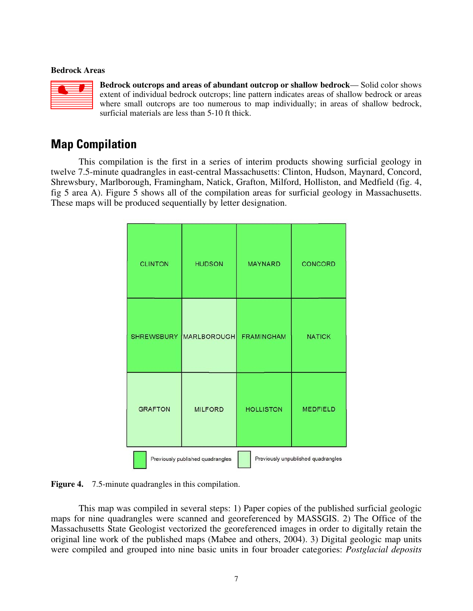#### **Bedrock Areas**



**Bedrock outcrops and areas of abundant outcrop or shallow bedrock**— Solid color shows extent of individual bedrock outcrops; line pattern indicates areas of shallow bedrock or areas where small outcrops are too numerous to map individually; in areas of shallow bedrock, surficial materials are less than 5-10 ft thick.

### **Map Compilation**

This compilation is the first in a series of interim products showing surficial geology in twelve 7.5-minute quadrangles in east-central Massachusetts: Clinton, Hudson, Maynard, Concord, Shrewsbury, Marlborough, Framingham, Natick, Grafton, Milford, Holliston, and Medfield (fig. 4, fig 5 area A). Figure 5 shows all of the compilation areas for surficial geology in Massachusetts. These maps will be produced sequentially by letter designation.

| <b>CLINTON</b> | <b>HUDSON</b>                    | <b>MAYNARD</b>                     | <b>CONCORD</b>  |  |  |  |
|----------------|----------------------------------|------------------------------------|-----------------|--|--|--|
|                | SHREWSBURY MARLBOROUGH           | <b>FRAMINGHAM</b>                  | <b>NATICK</b>   |  |  |  |
| <b>GRAFTON</b> | <b>MILFORD</b>                   | <b>HOLLISTON</b>                   | <b>MEDFIELD</b> |  |  |  |
|                | Previously published quadrangles | Previously unpublished quadrangles |                 |  |  |  |

**Figure 4.** 7.5-minute quadrangles in this compilation.

This map was compiled in several steps: 1) Paper copies of the published surficial geologic maps for nine quadrangles were scanned and georeferenced by MASSGIS. 2) The Office of the Massachusetts State Geologist vectorized the georeferenced images in order to digitally retain the original line work of the published maps (Mabee and others, 2004). 3) Digital geologic map units were compiled and grouped into nine basic units in four broader categories: *Postglacial deposits*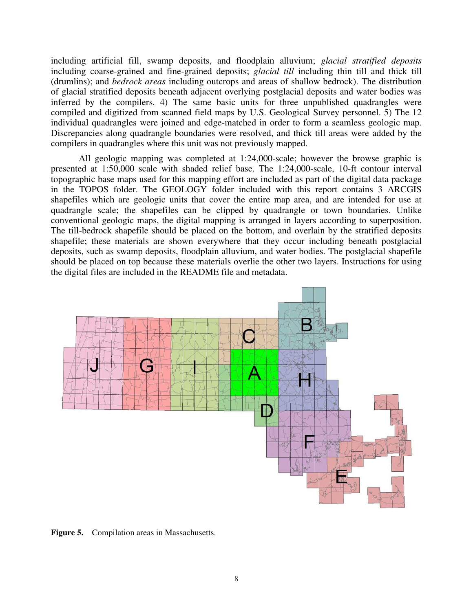including artificial fill, swamp deposits, and floodplain alluvium; *glacial stratified deposits*  including coarse-grained and fine-grained deposits; *glacial till* including thin till and thick till (drumlins); and *bedrock areas* including outcrops and areas of shallow bedrock). The distribution of glacial stratified deposits beneath adjacent overlying postglacial deposits and water bodies was inferred by the compilers. 4) The same basic units for three unpublished quadrangles were compiled and digitized from scanned field maps by U.S. Geological Survey personnel. 5) The 12 individual quadrangles were joined and edge-matched in order to form a seamless geologic map. Discrepancies along quadrangle boundaries were resolved, and thick till areas were added by the compilers in quadrangles where this unit was not previously mapped.

All geologic mapping was completed at 1:24,000-scale; however the browse graphic is presented at 1:50,000 scale with shaded relief base. The 1:24,000-scale, 10-ft contour interval topographic base maps used for this mapping effort are included as part of the digital data package in the TOPOS folder. The GEOLOGY folder included with this report contains 3 ARCGIS shapefiles which are geologic units that cover the entire map area, and are intended for use at quadrangle scale; the shapefiles can be clipped by quadrangle or town boundaries. Unlike conventional geologic maps, the digital mapping is arranged in layers according to superposition. The till-bedrock shapefile should be placed on the bottom, and overlain by the stratified deposits shapefile; these materials are shown everywhere that they occur including beneath postglacial deposits, such as swamp deposits, floodplain alluvium, and water bodies. The postglacial shapefile should be placed on top because these materials overlie the other two layers. Instructions for using the digital files are included in the README file and metadata.



**Figure 5.** Compilation areas in Massachusetts.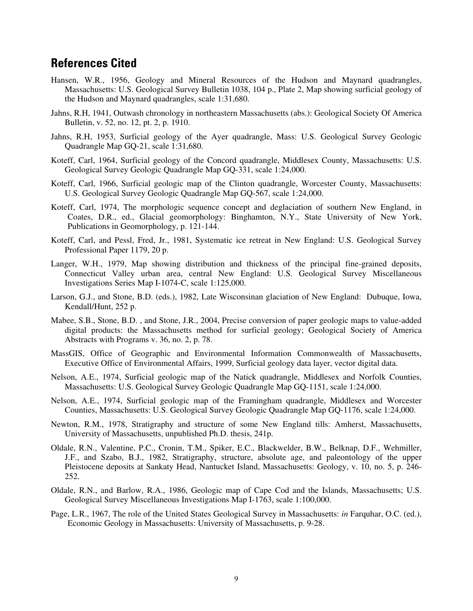### **References Cited**

- Hansen, W.R., 1956, Geology and Mineral Resources of the Hudson and Maynard quadrangles, Massachusetts: U.S. Geological Survey Bulletin 1038, 104 p., Plate 2, Map showing surficial geology of the Hudson and Maynard quadrangles, scale 1:31,680.
- Jahns, R.H, 1941, Outwash chronology in northeastern Massachusetts (abs.): Geological Society Of America Bulletin, v. 52, no. 12, pt. 2, p. 1910.
- Jahns, R.H, 1953, Surficial geology of the Ayer quadrangle, Mass: U.S. Geological Survey Geologic Quadrangle Map GQ-21, scale 1:31,680.
- Koteff, Carl, 1964, Surficial geology of the Concord quadrangle, Middlesex County, Massachusetts: U.S. Geological Survey Geologic Quadrangle Map GQ-331, scale 1:24,000.
- Koteff, Carl, 1966, Surficial geologic map of the Clinton quadrangle, Worcester County, Massachusetts: U.S. Geological Survey Geologic Quadrangle Map GQ-567, scale 1:24,000.
- Koteff, Carl, 1974, The morphologic sequence concept and deglaciation of southern New England, in Coates, D.R., ed., Glacial geomorphology: Binghamton, N.Y., State University of New York, Publications in Geomorphology, p. 121-144.
- Koteff, Carl, and Pessl, Fred, Jr., 1981, Systematic ice retreat in New England: U.S. Geological Survey Professional Paper 1179, 20 p.
- Langer, W.H., 1979, Map showing distribution and thickness of the principal fine-grained deposits, Connecticut Valley urban area, central New England: U.S. Geological Survey Miscellaneous Investigations Series Map I-1074-C, scale 1:125,000.
- Larson, G.J., and Stone, B.D. (eds.), 1982, Late Wisconsinan glaciation of New England: Dubuque, Iowa, Kendall/Hunt, 252 p.
- Mabee, S.B., Stone, B.D. , and Stone, J.R., 2004, Precise conversion of paper geologic maps to value-added digital products: the Massachusetts method for surficial geology; Geological Society of America Abstracts with Programs v. 36, no. 2, p. 78.
- MassGIS, Office of Geographic and Environmental Information Commonwealth of Massachusetts, Executive Office of Environmental Affairs, 1999, Surficial geology data layer, vector digital data.
- Nelson, A.E., 1974, Surficial geologic map of the Natick quadrangle, Middlesex and Norfolk Counties, Massachusetts: U.S. Geological Survey Geologic Quadrangle Map GQ-1151, scale 1:24,000.
- Nelson, A.E., 1974, Surficial geologic map of the Framingham quadrangle, Middlesex and Worcester Counties, Massachusetts: U.S. Geological Survey Geologic Quadrangle Map GQ-1176, scale 1:24,000.
- Newton, R.M., 1978, Stratigraphy and structure of some New England tills: Amherst, Massachusetts, University of Massachusetts, unpublished Ph.D. thesis, 241p.
- Oldale, R.N., Valentine, P.C., Cronin, T.M., Spiker, E.C., Blackwelder, B.W., Belknap, D.F., Wehmiller, J.F., and Szabo, B.J., 1982, Stratigraphy, structure, absolute age, and paleontology of the upper Pleistocene deposits at Sankaty Head, Nantucket Island, Massachusetts: Geology, v. 10, no. 5, p. 246 252.
- Oldale, R.N., and Barlow, R.A., 1986, Geologic map of Cape Cod and the Islands, Massachusetts; U.S. Geological Survey Miscellaneous Investigations Map I-1763, scale 1:100,000.
- Page, L.R., 1967, The role of the United States Geological Survey in Massachusetts: *in* Farquhar, O.C. (ed.), Economic Geology in Massachusetts: University of Massachusetts, p. 9-28.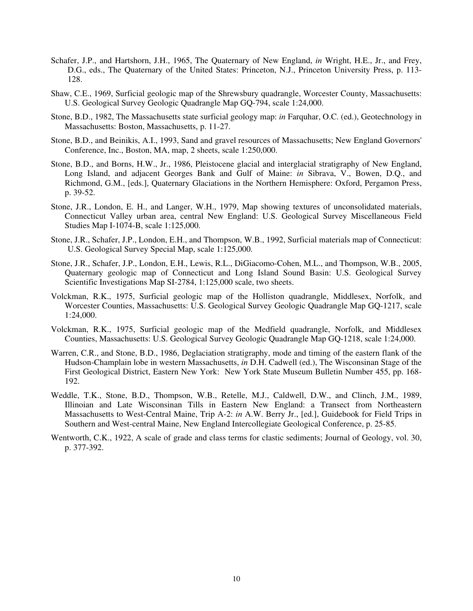- Schafer, J.P., and Hartshorn, J.H., 1965, The Quaternary of New England, *in* Wright, H.E., Jr., and Frey, D.G., eds., The Quaternary of the United States: Princeton, N.J., Princeton University Press, p. 113 128.
- Shaw, C.E., 1969, Surficial geologic map of the Shrewsbury quadrangle, Worcester County, Massachusetts: U.S. Geological Survey Geologic Quadrangle Map GQ-794, scale 1:24,000.
- Stone, B.D., 1982, The Massachusetts state surficial geology map: *in* Farquhar, O.C. (ed.), Geotechnology in Massachusetts: Boston, Massachusetts, p. 11-27.
- Stone, B.D., and Beinikis, A.I., 1993, Sand and gravel resources of Massachusetts; New England Governors' Conference, Inc., Boston, MA, map, 2 sheets, scale 1:250,000.
- Stone, B.D., and Borns, H.W., Jr., 1986, Pleistocene glacial and interglacial stratigraphy of New England, Long Island, and adjacent Georges Bank and Gulf of Maine: *in* Sibrava, V., Bowen, D.Q., and Richmond, G.M., [eds.], Quaternary Glaciations in the Northern Hemisphere: Oxford, Pergamon Press, p. 39-52.
- Stone, J.R., London, E. H., and Langer, W.H., 1979, Map showing textures of unconsolidated materials, Connecticut Valley urban area, central New England: U.S. Geological Survey Miscellaneous Field Studies Map I-1074-B, scale 1:125,000.
- Stone, J.R., Schafer, J.P., London, E.H., and Thompson, W.B., 1992, Surficial materials map of Connecticut: U.S. Geological Survey Special Map, scale 1:125,000.
- Stone, J.R., Schafer, J.P., London, E.H., Lewis, R.L., DiGiacomo-Cohen, M.L., and Thompson, W.B., 2005, Quaternary geologic map of Connecticut and Long Island Sound Basin: U.S. Geological Survey Scientific Investigations Map SI-2784, 1:125,000 scale, two sheets.
- Volckman, R.K., 1975, Surficial geologic map of the Holliston quadrangle, Middlesex, Norfolk, and Worcester Counties, Massachusetts: U.S. Geological Survey Geologic Quadrangle Map GQ-1217, scale 1:24,000.
- Volckman, R.K., 1975, Surficial geologic map of the Medfield quadrangle, Norfolk, and Middlesex Counties, Massachusetts: U.S. Geological Survey Geologic Quadrangle Map GQ-1218, scale 1:24,000.
- Warren, C.R., and Stone, B.D., 1986, Deglaciation stratigraphy, mode and timing of the eastern flank of the Hudson-Champlain lobe in western Massachusetts, *in* D.H. Cadwell (ed.), The Wisconsinan Stage of the First Geological District, Eastern New York: New York State Museum Bulletin Number 455, pp. 168 192.
- Weddle, T.K., Stone, B.D., Thompson, W.B., Retelle, M.J., Caldwell, D.W., and Clinch, J.M., 1989, Illinoian and Late Wisconsinan Tills in Eastern New England: a Transect from Northeastern Massachusetts to West-Central Maine, Trip A-2: *in* A.W. Berry Jr., [ed.], Guidebook for Field Trips in Southern and West-central Maine, New England Intercollegiate Geological Conference, p. 25-85.
- Wentworth, C.K., 1922, A scale of grade and class terms for clastic sediments; Journal of Geology, vol. 30, p. 377-392.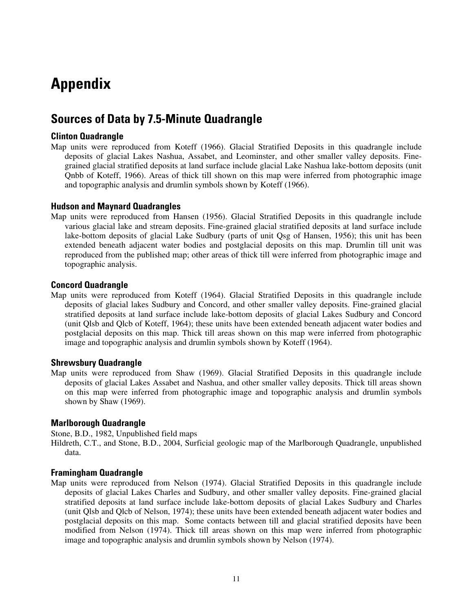## **Appendix**

### **Sources of Data by 7.5-Minute Quadrangle**

### **Clinton Quadrangle**

Map units were reproduced from Koteff (1966). Glacial Stratified Deposits in this quadrangle include deposits of glacial Lakes Nashua, Assabet, and Leominster, and other smaller valley deposits. Finegrained glacial stratified deposits at land surface include glacial Lake Nashua lake-bottom deposits (unit Qnbb of Koteff, 1966). Areas of thick till shown on this map were inferred from photographic image and topographic analysis and drumlin symbols shown by Koteff (1966).

### **Hudson and Maynard Quadrangles**

Map units were reproduced from Hansen (1956). Glacial Stratified Deposits in this quadrangle include various glacial lake and stream deposits. Fine-grained glacial stratified deposits at land surface include lake-bottom deposits of glacial Lake Sudbury (parts of unit Qsg of Hansen, 1956); this unit has been extended beneath adjacent water bodies and postglacial deposits on this map. Drumlin till unit was reproduced from the published map; other areas of thick till were inferred from photographic image and topographic analysis.

### **Concord Quadrangle**

Map units were reproduced from Koteff (1964). Glacial Stratified Deposits in this quadrangle include deposits of glacial lakes Sudbury and Concord, and other smaller valley deposits. Fine-grained glacial stratified deposits at land surface include lake-bottom deposits of glacial Lakes Sudbury and Concord (unit Qlsb and Qlcb of Koteff, 1964); these units have been extended beneath adjacent water bodies and postglacial deposits on this map. Thick till areas shown on this map were inferred from photographic image and topographic analysis and drumlin symbols shown by Koteff (1964).

### **Shrewsbury Quadrangle**

Map units were reproduced from Shaw (1969). Glacial Stratified Deposits in this quadrangle include deposits of glacial Lakes Assabet and Nashua, and other smaller valley deposits. Thick till areas shown on this map were inferred from photographic image and topographic analysis and drumlin symbols shown by Shaw (1969).

### **Marlborough Quadrangle**

Stone, B.D., 1982, Unpublished field maps

Hildreth, C.T., and Stone, B.D., 2004, Surficial geologic map of the Marlborough Quadrangle, unpublished data.

### **Framingham Quadrangle**

Map units were reproduced from Nelson (1974). Glacial Stratified Deposits in this quadrangle include deposits of glacial Lakes Charles and Sudbury, and other smaller valley deposits. Fine-grained glacial stratified deposits at land surface include lake-bottom deposits of glacial Lakes Sudbury and Charles (unit Qlsb and Qlcb of Nelson, 1974); these units have been extended beneath adjacent water bodies and postglacial deposits on this map. Some contacts between till and glacial stratified deposits have been modified from Nelson (1974). Thick till areas shown on this map were inferred from photographic image and topographic analysis and drumlin symbols shown by Nelson (1974).